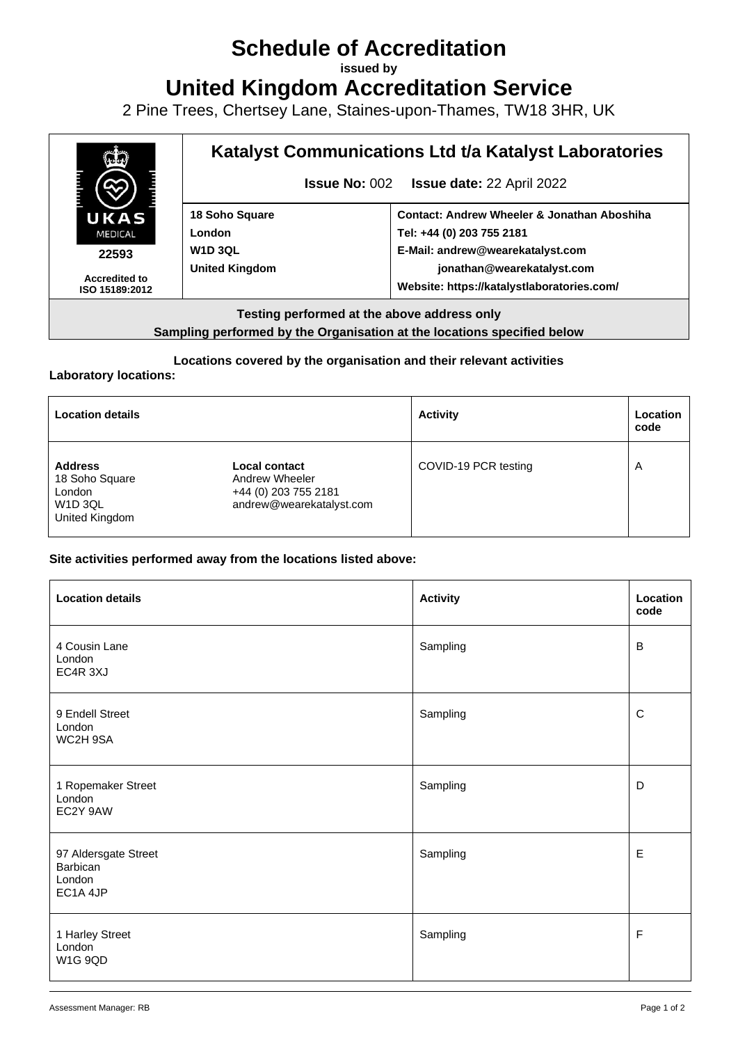# **Schedule of Accreditation**

**issued by**

**United Kingdom Accreditation Service**

2 Pine Trees, Chertsey Lane, Staines-upon-Thames, TW18 3HR, UK



**Sampling performed by the Organisation at the locations specified below**

#### **Locations covered by the organisation and their relevant activities**

#### **Laboratory locations:**

| <b>Location details</b>                                                        |                                                                                     | <b>Activity</b>      | Location<br>code        |
|--------------------------------------------------------------------------------|-------------------------------------------------------------------------------------|----------------------|-------------------------|
| <b>Address</b><br>18 Soho Square<br>London<br><b>W1D 3QL</b><br>United Kingdom | Local contact<br>Andrew Wheeler<br>+44 (0) 203 755 2181<br>andrew@wearekatalyst.com | COVID-19 PCR testing | $\overline{\mathsf{A}}$ |

#### **Site activities performed away from the locations listed above:**

| <b>Location details</b>                                | <b>Activity</b> | Location<br>code |
|--------------------------------------------------------|-----------------|------------------|
| 4 Cousin Lane<br>London<br>EC4R 3XJ                    | Sampling        | B                |
| 9 Endell Street<br>London<br>WC2H 9SA                  | Sampling        | $\mathsf{C}$     |
| 1 Ropemaker Street<br>London<br>EC2Y 9AW               | Sampling        | D                |
| 97 Aldersgate Street<br>Barbican<br>London<br>EC1A 4JP | Sampling        | $\mathsf E$      |
| 1 Harley Street<br>London<br>W1G 9QD                   | Sampling        | F                |